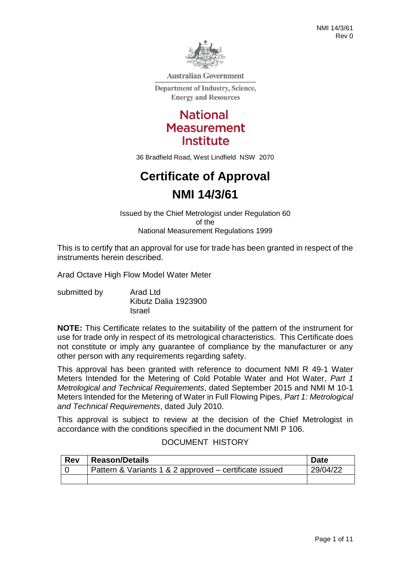

**Australian Government** 

**Department of Industry, Science, Energy and Resources** 

> **National Measurement Institute**

36 Bradfield Road, West Lindfield NSW 2070

# **Certificate of Approval NMI 14/3/61**

Issued by the Chief Metrologist under Regulation 60 of the National Measurement Regulations 1999

This is to certify that an approval for use for trade has been granted in respect of the instruments herein described.

Arad Octave High Flow Model Water Meter

submitted by **Arad Ltd** Kibutz Dalia 1923900 Israel

**NOTE:** This Certificate relates to the suitability of the pattern of the instrument for use for trade only in respect of its metrological characteristics. This Certificate does not constitute or imply any guarantee of compliance by the manufacturer or any other person with any requirements regarding safety.

This approval has been granted with reference to document NMI R 49-1 Water Meters Intended for the Metering of Cold Potable Water and Hot Water*, Part 1 Metrological and Technical Requirements*, dated September 2015 and NMI M 10-1 Meters Intended for the Metering of Water in Full Flowing Pipes, *Part 1: Metrological and Technical Requirements*, dated July 2010.

This approval is subject to review at the decision of the Chief Metrologist in accordance with the conditions specified in the document NMI P 106.

#### DOCUMENT HISTORY

| <b>Rev</b> | <b>Reason/Details</b>                                  | <b>Date</b> |
|------------|--------------------------------------------------------|-------------|
|            | Pattern & Variants 1 & 2 approved – certificate issued | 29/04/22    |
|            |                                                        |             |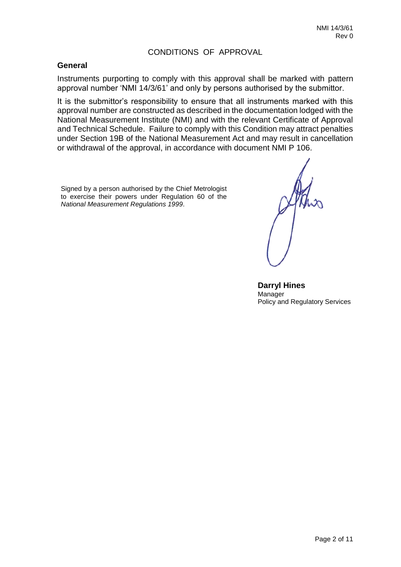#### CONDITIONS OF APPROVAL

#### **General**

Instruments purporting to comply with this approval shall be marked with pattern approval number 'NMI 14/3/61' and only by persons authorised by the submittor.

It is the submittor's responsibility to ensure that all instruments marked with this approval number are constructed as described in the documentation lodged with the National Measurement Institute (NMI) and with the relevant Certificate of Approval and Technical Schedule. Failure to comply with this Condition may attract penalties under Section 19B of the National Measurement Act and may result in cancellation or withdrawal of the approval, in accordance with document NMI P 106.

Signed by a person authorised by the Chief Metrologist to exercise their powers under Regulation 60 of the *National Measurement Regulations 1999*.

**Darryl Hines** Manager Policy and Regulatory Services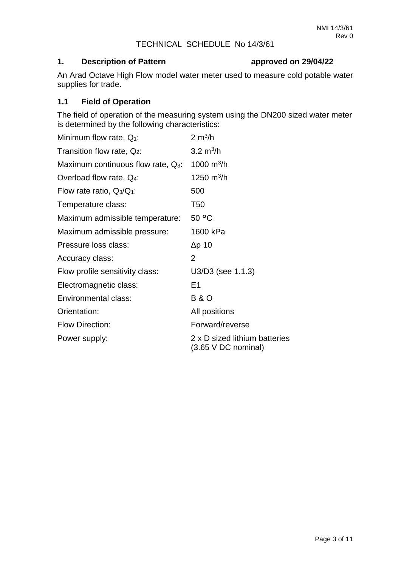#### TECHNICAL SCHEDULE No 14/3/61

# **1. Description of Pattern approved on 29/04/22**

An Arad Octave High Flow model water meter used to measure cold potable water supplies for trade.

# **1.1 Field of Operation**

The field of operation of the measuring system using the DN200 sized water meter is determined by the following characteristics:

| Minimum flow rate, $Q_1$ :            | $2 \text{ m}^3$ /h                                        |
|---------------------------------------|-----------------------------------------------------------|
| Transition flow rate, $Q_2$ :         | 3.2 $m^3/h$                                               |
| Maximum continuous flow rate, $Q_3$ : | 1000 $m^3/h$                                              |
| Overload flow rate, Q <sub>4</sub> :  | 1250 $m^3/h$                                              |
| Flow rate ratio, $Q_3/Q_1$ :          | 500                                                       |
| Temperature class:                    | T50                                                       |
| Maximum admissible temperature:       | 50 °C                                                     |
| Maximum admissible pressure:          | 1600 kPa                                                  |
| Pressure loss class:                  | Δp 10                                                     |
| Accuracy class:                       | $\overline{2}$                                            |
| Flow profile sensitivity class:       | U3/D3 (see 1.1.3)                                         |
| Electromagnetic class:                | E1                                                        |
| Environmental class:                  | <b>B&amp;O</b>                                            |
| Orientation:                          | All positions                                             |
| <b>Flow Direction:</b>                | Forward/reverse                                           |
| Power supply:                         | 2 x D sized lithium batteries<br>$(3.65 \vee DC$ nominal) |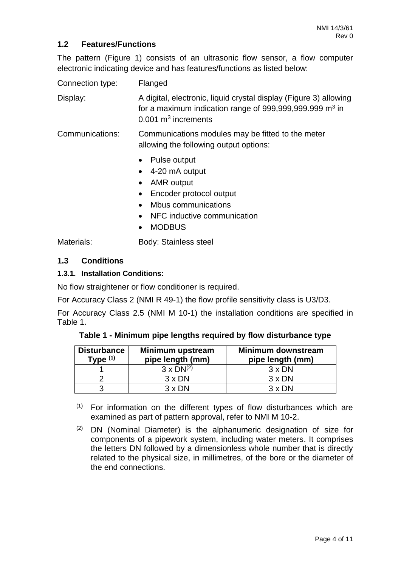# **1.2 Features/Functions**

The pattern (Figure 1) consists of an ultrasonic flow sensor, a flow computer electronic indicating device and has features/functions as listed below:

Connection type: Flanged Display: A digital, electronic, liquid crystal display (Figure 3) allowing for a maximum indication range of 999,999,999.999 m<sup>3</sup> in  $0.001$  m<sup>3</sup> increments Communications: Communications modules may be fitted to the meter allowing the following output options: • Pulse output 4-20 mA output AMR output Encoder protocol output • Mbus communications • NFC inductive communication • MODBUS

Materials: **Body: Stainless steel** 

### **1.3 Conditions**

#### **1.3.1. Installation Conditions:**

No flow straightener or flow conditioner is required.

For Accuracy Class 2 (NMI R 49-1) the flow profile sensitivity class is U3/D3.

For Accuracy Class 2.5 (NMI M 10-1) the installation conditions are specified in Table 1.

**Table 1 - Minimum pipe lengths required by flow disturbance type**

| <b>Disturbance</b><br>Type $(1)$ | Minimum upstream<br>pipe length (mm) | <b>Minimum downstream</b><br>pipe length (mm) |
|----------------------------------|--------------------------------------|-----------------------------------------------|
|                                  | $3 \times DN^{(2)}$                  | $3 \times DN$                                 |
|                                  | $3 \times DN$                        | $3 \times DN$                                 |
| ว                                | $3 \times DN$                        | $3 \times DN$                                 |

- $(1)$  For information on the different types of flow disturbances which are examined as part of pattern approval, refer to NMI M 10-2.
- $(2)$  DN (Nominal Diameter) is the alphanumeric designation of size for components of a pipework system, including water meters. It comprises the letters DN followed by a dimensionless whole number that is directly related to the physical size, in millimetres, of the bore or the diameter of the end connections.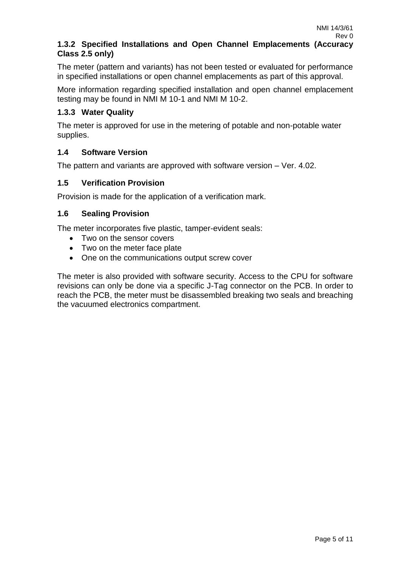# **1.3.2 Specified Installations and Open Channel Emplacements (Accuracy Class 2.5 only)**

The meter (pattern and variants) has not been tested or evaluated for performance in specified installations or open channel emplacements as part of this approval.

More information regarding specified installation and open channel emplacement testing may be found in NMI M 10-1 and NMI M 10-2.

# **1.3.3 Water Quality**

The meter is approved for use in the metering of potable and non-potable water supplies.

### **1.4 Software Version**

The pattern and variants are approved with software version – Ver. 4.02.

### **1.5 Verification Provision**

Provision is made for the application of a verification mark.

#### **1.6 Sealing Provision**

The meter incorporates five plastic, tamper-evident seals:

- Two on the sensor covers
- Two on the meter face plate
- One on the communications output screw cover

The meter is also provided with software security. Access to the CPU for software revisions can only be done via a specific J-Tag connector on the PCB. In order to reach the PCB, the meter must be disassembled breaking two seals and breaching the vacuumed electronics compartment.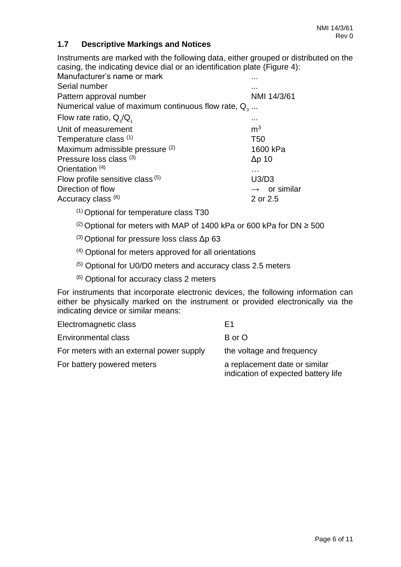# **1.7 Descriptive Markings and Notices**

Instruments are marked with the following data, either grouped or distributed on the casing, the indicating device dial or an identification plate (Figure 4):

| Manufacturer's name or mark                            |                          |
|--------------------------------------------------------|--------------------------|
| Serial number                                          | .                        |
| Pattern approval number                                | NMI 14/3/61              |
| Numerical value of maximum continuous flow rate, $Q_3$ |                          |
| Flow rate ratio, $Q_3/Q_1$                             | .                        |
| Unit of measurement                                    | m <sup>3</sup>           |
| Temperature class (1)                                  | T <sub>50</sub>          |
| Maximum admissible pressure (2)                        | 1600 kPa                 |
| Pressure loss class (3)                                | $\Delta p$ 10            |
| Orientation <sup>(4)</sup>                             | $\cdots$                 |
| Flow profile sensitive class $(5)$                     | U3/D3                    |
| Direction of flow                                      | $\rightarrow$ or similar |
| Accuracy class (6)                                     | 2 or 2.5                 |
|                                                        |                          |

- (1) Optional for temperature class T30
- (2) Optional for meters with MAP of 1400 kPa or 600 kPa for DN  $\geq$  500
- $(3)$  Optional for pressure loss class Δp 63
- (4) Optional for meters approved for all orientations
- (5) Optional for U0/D0 meters and accuracy class 2.5 meters
- (6) Optional for accuracy class 2 meters

For instruments that incorporate electronic devices, the following information can either be physically marked on the instrument or provided electronically via the indicating device or similar means:

| Electromagnetic class                    | F <sub>1</sub>                                                       |
|------------------------------------------|----------------------------------------------------------------------|
| <b>Environmental class</b>               | B or O                                                               |
| For meters with an external power supply | the voltage and frequency                                            |
| For battery powered meters               | a replacement date or similar<br>indication of expected battery life |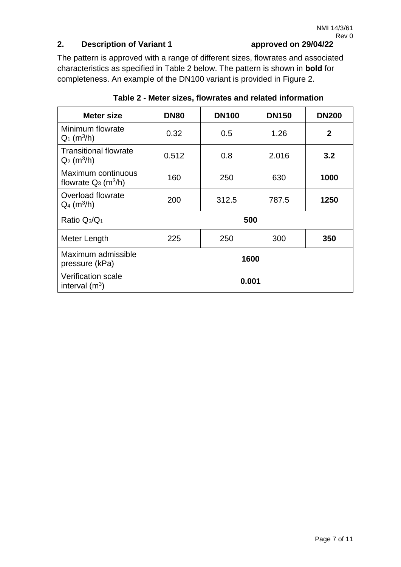# **2. Description of Variant 1 approved on 29/04/22**

The pattern is approved with a range of different sizes, flowrates and associated characteristics as specified in Table 2 below. The pattern is shown in **bold** for completeness. An example of the DN100 variant is provided in Figure 2.

| Meter size                                                | <b>DN80</b> | <b>DN100</b> | <b>DN150</b> | <b>DN200</b> |  |
|-----------------------------------------------------------|-------------|--------------|--------------|--------------|--|
| Minimum flowrate<br>$Q_1$ (m <sup>3</sup> /h)             | 0.32        | 0.5          | 1.26         | $\mathbf{2}$ |  |
| <b>Transitional flowrate</b><br>$Q_2$ (m <sup>3</sup> /h) | 0.512       | 0.8          | 2.016        | 3.2          |  |
| Maximum continuous<br>flowrate $Q_3$ (m <sup>3</sup> /h)  | 160         | 250          | 630          | 1000         |  |
| Overload flowrate<br>$Q_4$ (m <sup>3</sup> /h)            | 200         | 312.5        | 787.5        | 1250         |  |
| Ratio $Q_3/Q_1$                                           | 500         |              |              |              |  |
| Meter Length                                              | 225         | 250          | 300          | 350          |  |
| Maximum admissible<br>pressure (kPa)                      | 1600        |              |              |              |  |
| <b>Verification scale</b><br>0.001<br>interval $(m^3)$    |             |              |              |              |  |

**Table 2 - Meter sizes, flowrates and related information**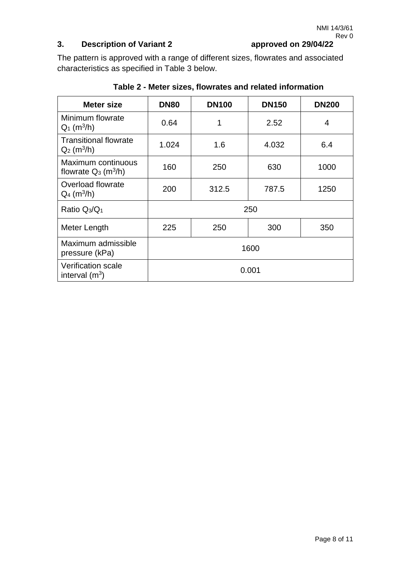# **3. Description of Variant 2 approved on 29/04/22**

The pattern is approved with a range of different sizes, flowrates and associated characteristics as specified in Table 3 below.

| Meter size                                                | <b>DN80</b> | <b>DN100</b> | <b>DN150</b> | <b>DN200</b> |
|-----------------------------------------------------------|-------------|--------------|--------------|--------------|
| Minimum flowrate<br>$Q_1$ (m <sup>3</sup> /h)             | 0.64        | 1            | 2.52         | 4            |
| <b>Transitional flowrate</b><br>$Q_2$ (m <sup>3</sup> /h) | 1.024       | 1.6          | 4.032        | 6.4          |
| Maximum continuous<br>flowrate $Q_3$ (m <sup>3</sup> /h)  | 160         | 250          | 630          | 1000         |
| Overload flowrate<br>$Q_4$ (m <sup>3</sup> /h)            | 200         | 312.5        | 787.5        | 1250         |
| Ratio $Q_3/Q_1$                                           | 250         |              |              |              |
| Meter Length                                              | 225         | 250          | 300          | 350          |
| Maximum admissible<br>pressure (kPa)                      | 1600        |              |              |              |
| <b>Verification scale</b><br>interval $(m^3)$             | 0.001       |              |              |              |

# **Table 2 - Meter sizes, flowrates and related information**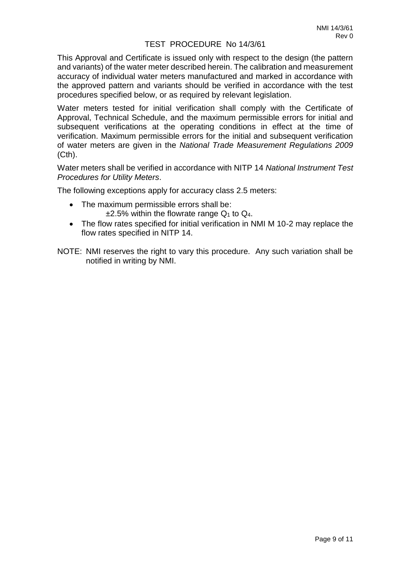#### TEST PROCEDURE No 14/3/61

This Approval and Certificate is issued only with respect to the design (the pattern and variants) of the water meter described herein. The calibration and measurement accuracy of individual water meters manufactured and marked in accordance with the approved pattern and variants should be verified in accordance with the test procedures specified below, or as required by relevant legislation.

Water meters tested for initial verification shall comply with the Certificate of Approval, Technical Schedule, and the maximum permissible errors for initial and subsequent verifications at the operating conditions in effect at the time of verification. Maximum permissible errors for the initial and subsequent verification of water meters are given in the *National Trade Measurement Regulations 2009*  (Cth).

Water meters shall be verified in accordance with NITP 14 *National Instrument Test Procedures for Utility Meters*.

The following exceptions apply for accuracy class 2.5 meters:

- The maximum permissible errors shall be:  $\pm 2.5\%$  within the flowrate range Q<sub>1</sub> to Q<sub>4</sub>.
- The flow rates specified for initial verification in NMI M 10-2 may replace the flow rates specified in NITP 14.
- NOTE: NMI reserves the right to vary this procedure. Any such variation shall be notified in writing by NMI.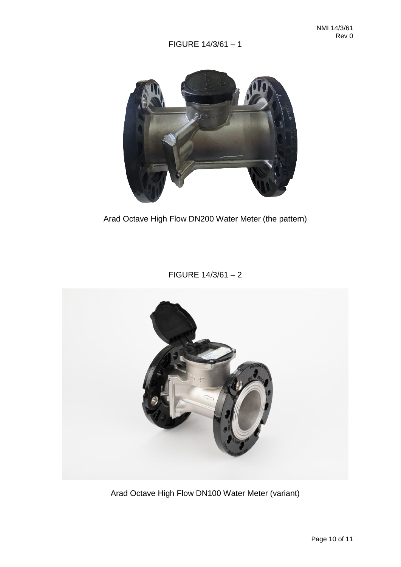FIGURE 14/3/61 – 1



Arad Octave High Flow DN200 Water Meter (the pattern)

FIGURE 14/3/61 – 2



Arad Octave High Flow DN100 Water Meter (variant)